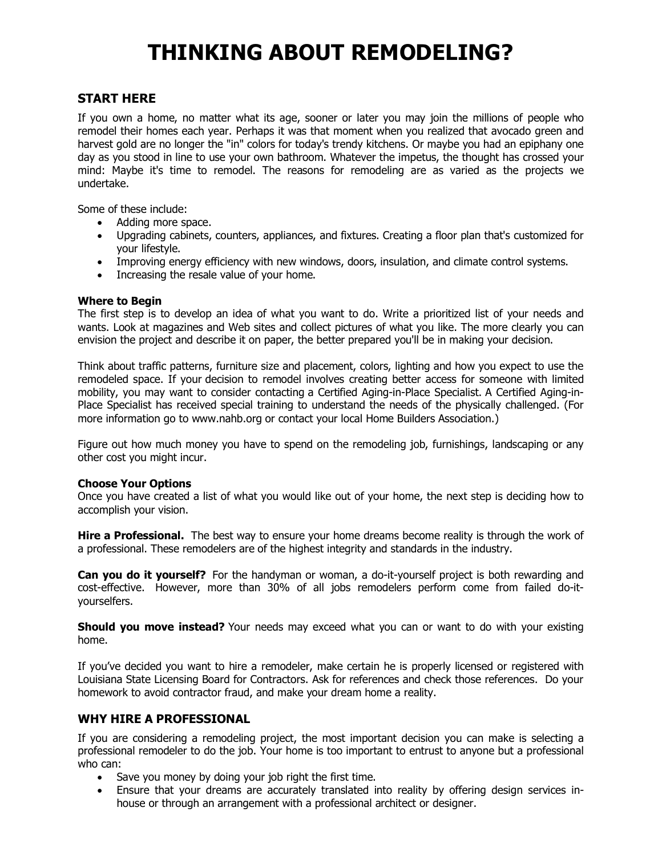# **THINKING ABOUT REMODELING?**

# **START HERE**

If you own a home, no matter what its age, sooner or later you may join the millions of people who remodel their homes each year. Perhaps it was that moment when you realized that avocado green and harvest gold are no longer the "in" colors for today's trendy kitchens. Or maybe you had an epiphany one day as you stood in line to use your own bathroom. Whatever the impetus, the thought has crossed your mind: Maybe it's time to remodel. The reasons for remodeling are as varied as the projects we undertake.

Some of these include:

- · Adding more space.
- · Upgrading cabinets, counters, appliances, and fixtures. Creating a floor plan that's customized for your lifestyle.
- · Improving energy efficiency with new windows, doors, insulation, and climate control systems.
- · Increasing the resale value of your home.

#### **Where to Begin**

The first step is to develop an idea of what you want to do. Write a prioritized list of your needs and wants. Look at magazines and Web sites and collect pictures of what you like. The more clearly you can envision the project and describe it on paper, the better prepared you'll be in making your decision.

Think about traffic patterns, furniture size and placement, colors, lighting and how you expect to use the remodeled space. If your decision to remodel involves creating better access for someone with limited mobility, you may want to consider contacting a Certified Aging-in-Place Specialist. A Certified Aging-in-Place Specialist has received special training to understand the needs of the physically challenged. (For more information go to www.nahb.org or contact your local Home Builders Association.)

Figure out how much money you have to spend on the remodeling job, furnishings, landscaping or any other cost you might incur.

#### **Choose Your Options**

Once you have created a list of what you would like out of your home, the next step is deciding how to accomplish your vision.

**Hire a Professional.** The best way to ensure your home dreams become reality is through the work of a professional. These remodelers are of the highest integrity and standards in the industry.

**Can you do it yourself?** For the handyman or woman, a do-it-yourself project is both rewarding and cost-effective. However, more than 30% of all jobs remodelers perform come from failed do-ityourselfers.

**Should you move instead?** Your needs may exceed what you can or want to do with your existing home.

If you've decided you want to hire a remodeler, make certain he is properly licensed or registered with Louisiana State Licensing Board for Contractors. Ask for references and check those references. Do your homework to avoid contractor fraud, and make your dream home a reality.

# **WHY HIRE A PROFESSIONAL**

If you are considering a remodeling project, the most important decision you can make is selecting a professional remodeler to do the job. Your home is too important to entrust to anyone but a professional who can:

- · Save you money by doing your job right the first time.
- · Ensure that your dreams are accurately translated into reality by offering design services inhouse or through an arrangement with a professional architect or designer.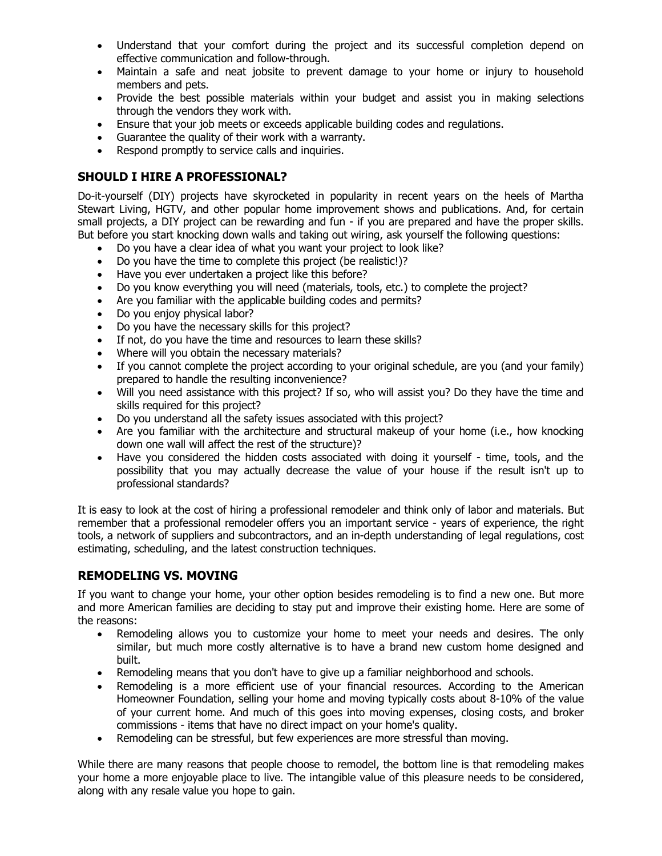- · Understand that your comfort during the project and its successful completion depend on effective communication and follow-through.
- · Maintain a safe and neat jobsite to prevent damage to your home or injury to household members and pets.
- · Provide the best possible materials within your budget and assist you in making selections through the vendors they work with.
- · Ensure that your job meets or exceeds applicable building codes and regulations.
- · Guarantee the quality of their work with a warranty.
- · Respond promptly to service calls and inquiries.

# **SHOULD I HIRE A PROFESSIONAL?**

Do-it-yourself (DIY) projects have skyrocketed in popularity in recent years on the heels of Martha Stewart Living, HGTV, and other popular home improvement shows and publications. And, for certain small projects, a DIY project can be rewarding and fun - if you are prepared and have the proper skills. But before you start knocking down walls and taking out wiring, ask yourself the following questions:

- · Do you have a clear idea of what you want your project to look like?
- · Do you have the time to complete this project (be realistic!)?
- · Have you ever undertaken a project like this before?
- · Do you know everything you will need (materials, tools, etc.) to complete the project?
- · Are you familiar with the applicable building codes and permits?
- · Do you enjoy physical labor?
- · Do you have the necessary skills for this project?
- · If not, do you have the time and resources to learn these skills?
- Where will you obtain the necessary materials?
- · If you cannot complete the project according to your original schedule, are you (and your family) prepared to handle the resulting inconvenience?
- · Will you need assistance with this project? If so, who will assist you? Do they have the time and skills required for this project?
- · Do you understand all the safety issues associated with this project?
- Are you familiar with the architecture and structural makeup of your home (i.e., how knocking down one wall will affect the rest of the structure)?
- · Have you considered the hidden costs associated with doing it yourself time, tools, and the possibility that you may actually decrease the value of your house if the result isn't up to professional standards?

It is easy to look at the cost of hiring a professional remodeler and think only of labor and materials. But remember that a professional remodeler offers you an important service - years of experience, the right tools, a network of suppliers and subcontractors, and an in-depth understanding of legal regulations, cost estimating, scheduling, and the latest construction techniques.

### **REMODELING VS. MOVING**

If you want to change your home, your other option besides remodeling is to find a new one. But more and more American families are deciding to stay put and improve their existing home. Here are some of the reasons:

- · Remodeling allows you to customize your home to meet your needs and desires. The only similar, but much more costly alternative is to have a brand new custom home designed and built.
- · Remodeling means that you don't have to give up a familiar neighborhood and schools.
- · Remodeling is a more efficient use of your financial resources. According to the American Homeowner Foundation, selling your home and moving typically costs about 8-10% of the value of your current home. And much of this goes into moving expenses, closing costs, and broker commissions - items that have no direct impact on your home's quality.
- · Remodeling can be stressful, but few experiences are more stressful than moving.

While there are many reasons that people choose to remodel, the bottom line is that remodeling makes your home a more enjoyable place to live. The intangible value of this pleasure needs to be considered, along with any resale value you hope to gain.